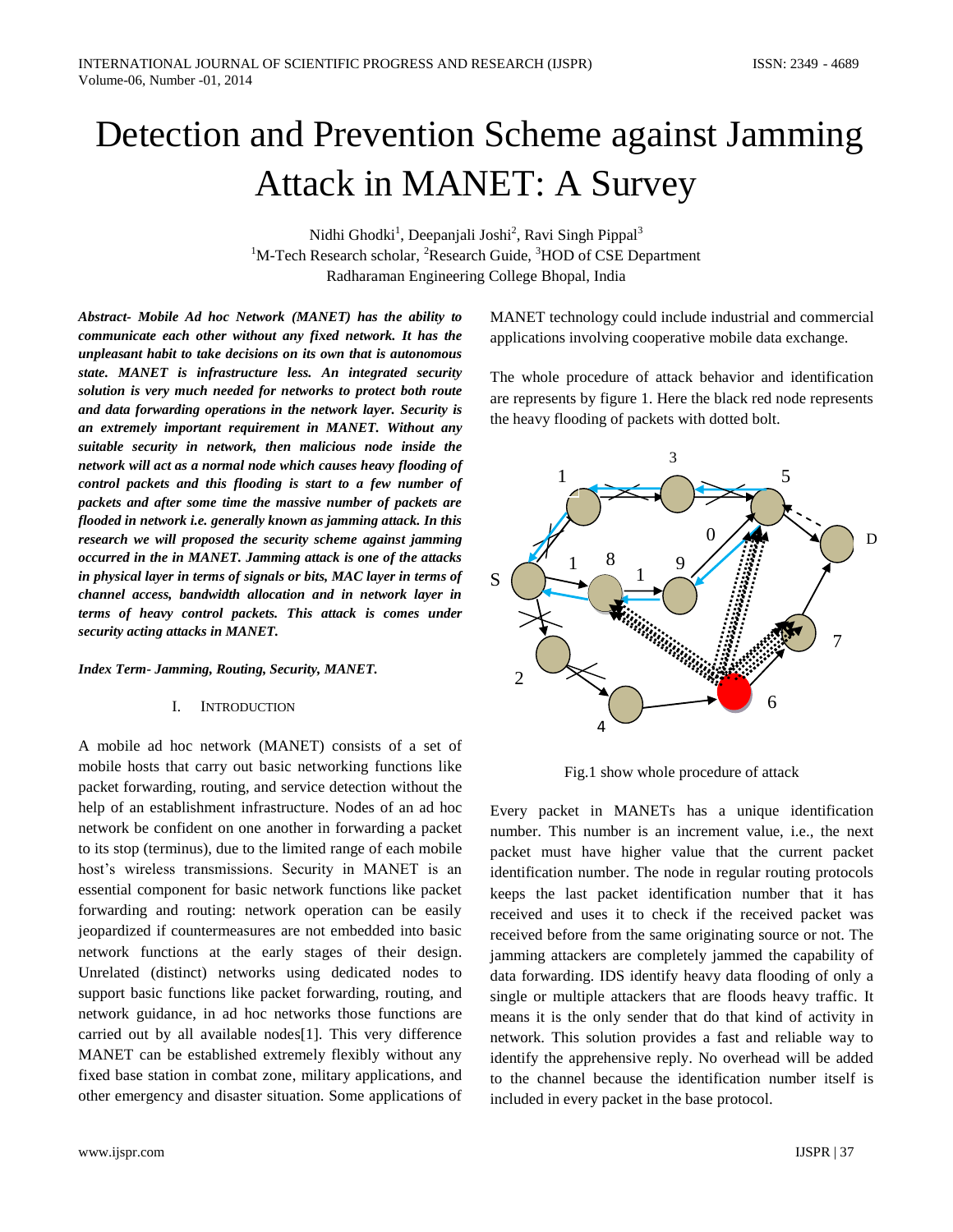# Detection and Prevention Scheme against Jamming Attack in MANET: A Survey

Nidhi Ghodki<sup>1</sup>, Deepanjali Joshi<sup>2</sup>, Ravi Singh Pippal<sup>3</sup>  $1$ M-Tech Research scholar, <sup>2</sup>Research Guide,  $3$ HOD of CSE Department Radharaman Engineering College Bhopal, India

*Abstract- Mobile Ad hoc Network (MANET) has the ability to communicate each other without any fixed network. It has the unpleasant habit to take decisions on its own that is autonomous state. MANET is infrastructure less. An integrated security solution is very much needed for networks to protect both route and data forwarding operations in the network layer. Security is an extremely important requirement in MANET. Without any suitable security in network, then malicious node inside the network will act as a normal node which causes heavy flooding of control packets and this flooding is start to a few number of packets and after some time the massive number of packets are flooded in network i.e. generally known as jamming attack. In this research we will proposed the security scheme against jamming occurred in the in MANET. Jamming attack is one of the attacks in physical layer in terms of signals or bits, MAC layer in terms of channel access, bandwidth allocation and in network layer in terms of heavy control packets. This attack is comes under security acting attacks in MANET.*

*Index Term- Jamming, Routing, Security, MANET.*

#### I. INTRODUCTION

A mobile ad hoc network (MANET) consists of a set of mobile hosts that carry out basic networking functions like packet forwarding, routing, and service detection without the help of an establishment infrastructure. Nodes of an ad hoc network be confident on one another in forwarding a packet to its stop (terminus), due to the limited range of each mobile host's wireless transmissions. Security in MANET is an essential component for basic network functions like packet forwarding and routing: network operation can be easily jeopardized if countermeasures are not embedded into basic network functions at the early stages of their design. Unrelated (distinct) networks using dedicated nodes to support basic functions like packet forwarding, routing, and network guidance, in ad hoc networks those functions are carried out by all available nodes[1]. This very difference MANET can be established extremely flexibly without any fixed base station in combat zone, military applications, and other emergency and disaster situation. Some applications of

MANET technology could include industrial and commercial applications involving cooperative mobile data exchange.

The whole procedure of attack behavior and identification are represents by figure 1. Here the black red node represents the heavy flooding of packets with dotted bolt.



Fig.1 show whole procedure of attack

Every packet in MANETs has a unique identification number. This number is an increment value, i.e., the next packet must have higher value that the current packet identification number. The node in regular routing protocols keeps the last packet identification number that it has received and uses it to check if the received packet was received before from the same originating source or not. The jamming attackers are completely jammed the capability of data forwarding. IDS identify heavy data flooding of only a single or multiple attackers that are floods heavy traffic. It means it is the only sender that do that kind of activity in network. This solution provides a fast and reliable way to identify the apprehensive reply. No overhead will be added to the channel because the identification number itself is included in every packet in the base protocol.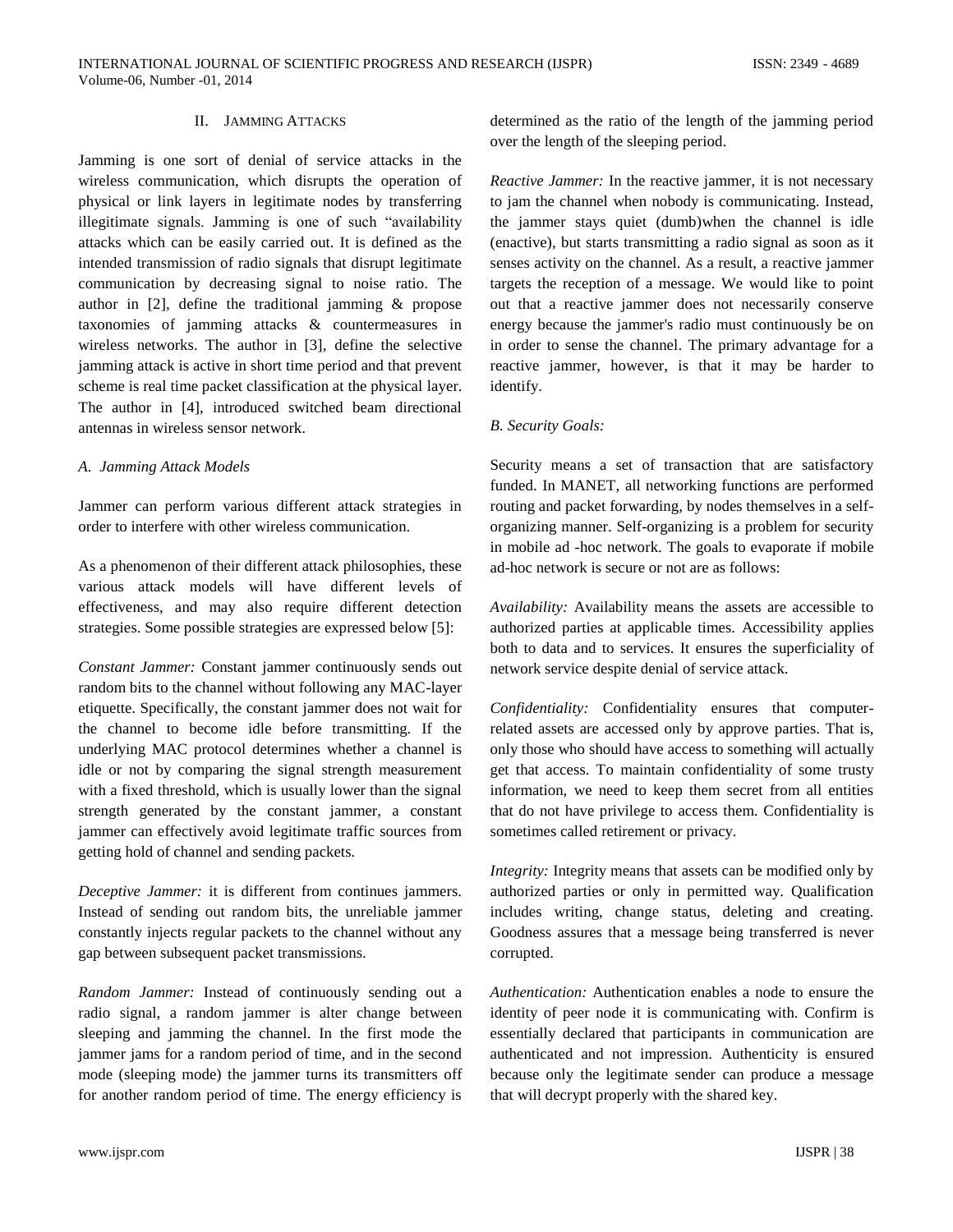## II. JAMMING ATTACKS

Jamming is one sort of denial of service attacks in the wireless communication, which disrupts the operation of physical or link layers in legitimate nodes by transferring illegitimate signals. Jamming is one of such "availability attacks which can be easily carried out. It is defined as the intended transmission of radio signals that disrupt legitimate communication by decreasing signal to noise ratio. The author in [2], define the traditional jamming & propose taxonomies of jamming attacks & countermeasures in wireless networks. The author in [3], define the selective jamming attack is active in short time period and that prevent scheme is real time packet classification at the physical layer. The author in [4], introduced switched beam directional antennas in wireless sensor network.

#### *A. Jamming Attack Models*

Jammer can perform various different attack strategies in order to interfere with other wireless communication.

As a phenomenon of their different attack philosophies, these various attack models will have different levels of effectiveness, and may also require different detection strategies. Some possible strategies are expressed below [5]:

*Constant Jammer:* Constant jammer continuously sends out random bits to the channel without following any MAC-layer etiquette. Specifically, the constant jammer does not wait for the channel to become idle before transmitting. If the underlying MAC protocol determines whether a channel is idle or not by comparing the signal strength measurement with a fixed threshold, which is usually lower than the signal strength generated by the constant jammer, a constant jammer can effectively avoid legitimate traffic sources from getting hold of channel and sending packets.

*Deceptive Jammer:* it is different from continues jammers. Instead of sending out random bits, the unreliable jammer constantly injects regular packets to the channel without any gap between subsequent packet transmissions.

*Random Jammer:* Instead of continuously sending out a radio signal, a random jammer is alter change between sleeping and jamming the channel. In the first mode the jammer jams for a random period of time, and in the second mode (sleeping mode) the jammer turns its transmitters off for another random period of time. The energy efficiency is

determined as the ratio of the length of the jamming period over the length of the sleeping period.

*Reactive Jammer:* In the reactive jammer, it is not necessary to jam the channel when nobody is communicating. Instead, the jammer stays quiet (dumb)when the channel is idle (enactive), but starts transmitting a radio signal as soon as it senses activity on the channel. As a result, a reactive jammer targets the reception of a message. We would like to point out that a reactive jammer does not necessarily conserve energy because the jammer's radio must continuously be on in order to sense the channel. The primary advantage for a reactive jammer, however, is that it may be harder to identify.

#### *B. Security Goals:*

Security means a set of transaction that are satisfactory funded. In MANET, all networking functions are performed routing and packet forwarding, by nodes themselves in a selforganizing manner. Self-organizing is a problem for security in mobile ad -hoc network. The goals to evaporate if mobile ad-hoc network is secure or not are as follows:

*Availability:* Availability means the assets are accessible to authorized parties at applicable times. Accessibility applies both to data and to services. It ensures the superficiality of network service despite denial of service attack.

*Confidentiality:* Confidentiality ensures that computerrelated assets are accessed only by approve parties. That is, only those who should have access to something will actually get that access. To maintain confidentiality of some trusty information, we need to keep them secret from all entities that do not have privilege to access them. Confidentiality is sometimes called retirement or privacy.

*Integrity:* Integrity means that assets can be modified only by authorized parties or only in permitted way. Qualification includes writing, change status, deleting and creating. Goodness assures that a message being transferred is never corrupted.

*Authentication:* Authentication enables a node to ensure the identity of peer node it is communicating with. Confirm is essentially declared that participants in communication are authenticated and not impression. Authenticity is ensured because only the legitimate sender can produce a message that will decrypt properly with the shared key.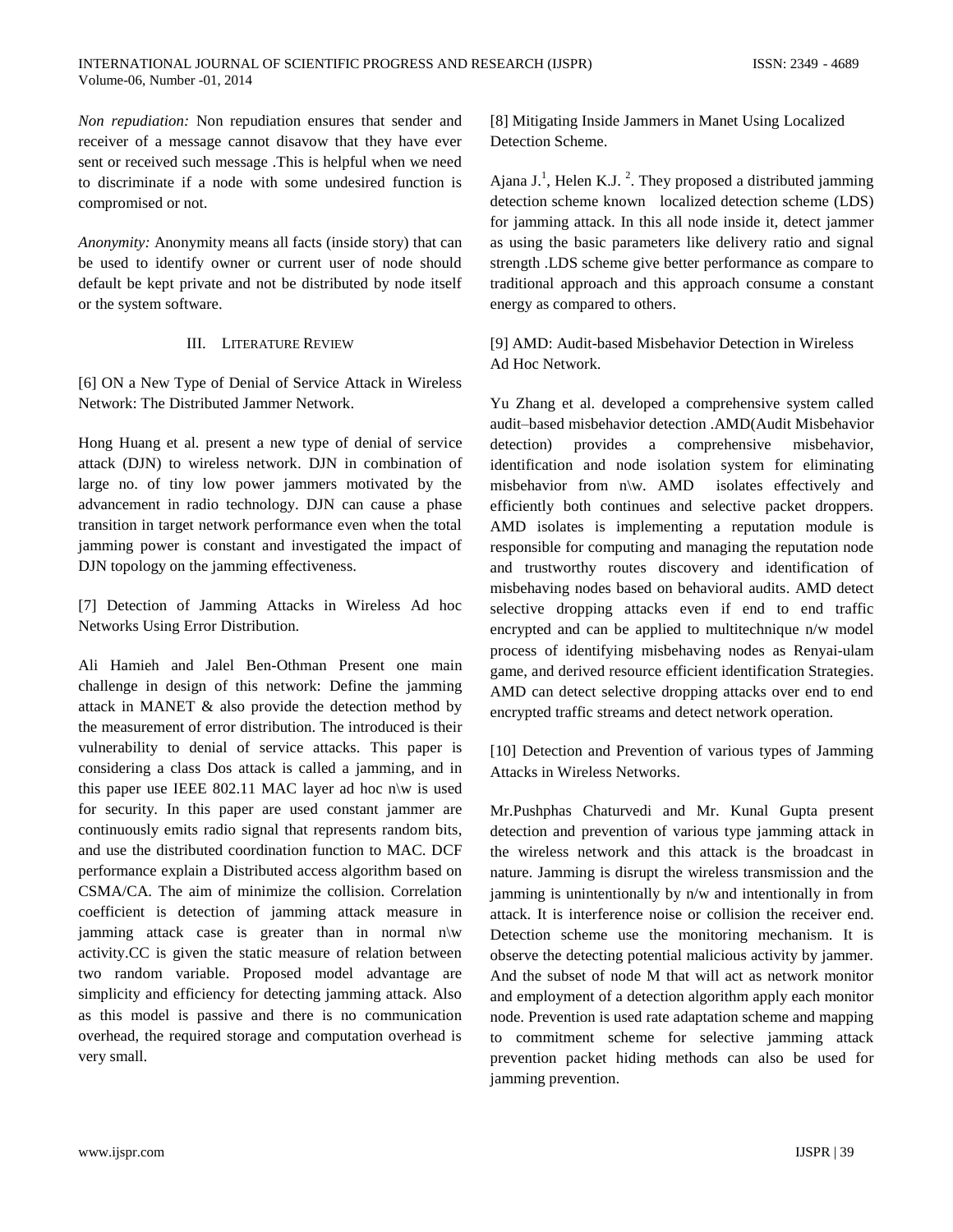*Non repudiation:* Non repudiation ensures that sender and receiver of a message cannot disavow that they have ever sent or received such message .This is helpful when we need to discriminate if a node with some undesired function is compromised or not.

*Anonymity:* Anonymity means all facts (inside story) that can be used to identify owner or current user of node should default be kept private and not be distributed by node itself or the system software.

### III. LITERATURE REVIEW

[6] ON a New Type of Denial of Service Attack in Wireless Network: The Distributed Jammer Network.

Hong Huang et al. present a new type of denial of service attack (DJN) to wireless network. DJN in combination of large no. of tiny low power jammers motivated by the advancement in radio technology. DJN can cause a phase transition in target network performance even when the total jamming power is constant and investigated the impact of DJN topology on the jamming effectiveness.

[7] Detection of Jamming Attacks in Wireless Ad hoc Networks Using Error Distribution.

Ali Hamieh and Jalel Ben-Othman Present one main challenge in design of this network: Define the jamming attack in MANET & also provide the detection method by the measurement of error distribution. The introduced is their vulnerability to denial of service attacks. This paper is considering a class Dos attack is called a jamming, and in this paper use IEEE 802.11 MAC layer ad hoc n $\mathbf{w}$  is used for security. In this paper are used constant jammer are continuously emits radio signal that represents random bits, and use the distributed coordination function to MAC. DCF performance explain a Distributed access algorithm based on CSMA/CA. The aim of minimize the collision. Correlation coefficient is detection of jamming attack measure in jamming attack case is greater than in normal n\w activity.CC is given the static measure of relation between two random variable. Proposed model advantage are simplicity and efficiency for detecting jamming attack. Also as this model is passive and there is no communication overhead, the required storage and computation overhead is very small.

[8] Mitigating Inside Jammers in Manet Using Localized Detection Scheme.

Ajana  $J^1$ , Helen K.J.<sup>2</sup>. They proposed a distributed jamming detection scheme known localized detection scheme (LDS) for jamming attack. In this all node inside it, detect jammer as using the basic parameters like delivery ratio and signal strength .LDS scheme give better performance as compare to traditional approach and this approach consume a constant energy as compared to others.

[9] AMD: Audit-based Misbehavior Detection in Wireless Ad Hoc Network.

Yu Zhang et al. developed a comprehensive system called audit–based misbehavior detection .AMD(Audit Misbehavior detection) provides a comprehensive misbehavior, identification and node isolation system for eliminating misbehavior from n\w. AMD isolates effectively and efficiently both continues and selective packet droppers. AMD isolates is implementing a reputation module is responsible for computing and managing the reputation node and trustworthy routes discovery and identification of misbehaving nodes based on behavioral audits. AMD detect selective dropping attacks even if end to end traffic encrypted and can be applied to multitechnique n/w model process of identifying misbehaving nodes as Renyai-ulam game, and derived resource efficient identification Strategies. AMD can detect selective dropping attacks over end to end encrypted traffic streams and detect network operation.

[10] Detection and Prevention of various types of Jamming Attacks in Wireless Networks.

Mr.Pushphas Chaturvedi and Mr. Kunal Gupta present detection and prevention of various type jamming attack in the wireless network and this attack is the broadcast in nature. Jamming is disrupt the wireless transmission and the jamming is unintentionally by n/w and intentionally in from attack. It is interference noise or collision the receiver end. Detection scheme use the monitoring mechanism. It is observe the detecting potential malicious activity by jammer. And the subset of node M that will act as network monitor and employment of a detection algorithm apply each monitor node. Prevention is used rate adaptation scheme and mapping to commitment scheme for selective jamming attack prevention packet hiding methods can also be used for jamming prevention.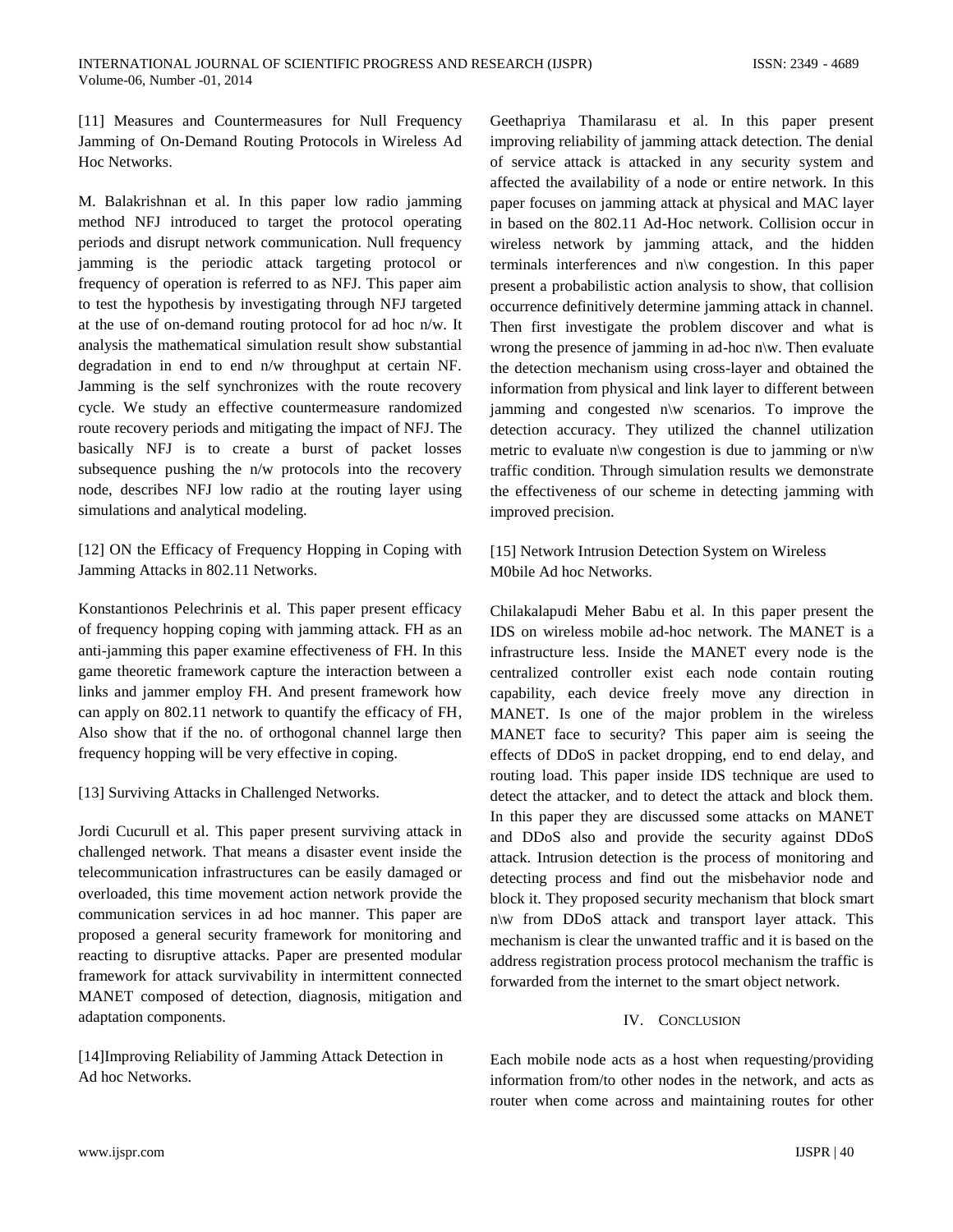[11] Measures and Countermeasures for Null Frequency Jamming of On-Demand Routing Protocols in Wireless Ad Hoc Networks.

M. Balakrishnan et al. In this paper low radio jamming method NFJ introduced to target the protocol operating periods and disrupt network communication. Null frequency jamming is the periodic attack targeting protocol or frequency of operation is referred to as NFJ. This paper aim to test the hypothesis by investigating through NFJ targeted at the use of on-demand routing protocol for ad hoc n/w. It analysis the mathematical simulation result show substantial degradation in end to end n/w throughput at certain NF. Jamming is the self synchronizes with the route recovery cycle. We study an effective countermeasure randomized route recovery periods and mitigating the impact of NFJ. The basically NFJ is to create a burst of packet losses subsequence pushing the n/w protocols into the recovery node, describes NFJ low radio at the routing layer using simulations and analytical modeling.

[12] ON the Efficacy of Frequency Hopping in Coping with Jamming Attacks in 802.11 Networks.

Konstantionos Pelechrinis et al. This paper present efficacy of frequency hopping coping with jamming attack. FH as an anti-jamming this paper examine effectiveness of FH. In this game theoretic framework capture the interaction between a links and jammer employ FH. And present framework how can apply on 802.11 network to quantify the efficacy of FH, Also show that if the no. of orthogonal channel large then frequency hopping will be very effective in coping.

[13] Surviving Attacks in Challenged Networks.

Jordi Cucurull et al. This paper present surviving attack in challenged network. That means a disaster event inside the telecommunication infrastructures can be easily damaged or overloaded, this time movement action network provide the communication services in ad hoc manner. This paper are proposed a general security framework for monitoring and reacting to disruptive attacks. Paper are presented modular framework for attack survivability in intermittent connected MANET composed of detection, diagnosis, mitigation and adaptation components.

[14]Improving Reliability of Jamming Attack Detection in Ad hoc Networks.

Geethapriya Thamilarasu et al. In this paper present improving reliability of jamming attack detection. The denial of service attack is attacked in any security system and affected the availability of a node or entire network. In this paper focuses on jamming attack at physical and MAC layer in based on the 802.11 Ad-Hoc network. Collision occur in wireless network by jamming attack, and the hidden terminals interferences and n\w congestion. In this paper present a probabilistic action analysis to show, that collision occurrence definitively determine jamming attack in channel. Then first investigate the problem discover and what is wrong the presence of jamming in ad-hoc n\w. Then evaluate the detection mechanism using cross-layer and obtained the information from physical and link layer to different between jamming and congested n\w scenarios. To improve the detection accuracy. They utilized the channel utilization metric to evaluate n\w congestion is due to jamming or n\w traffic condition. Through simulation results we demonstrate the effectiveness of our scheme in detecting jamming with improved precision.

[15] Network Intrusion Detection System on Wireless M0bile Ad hoc Networks.

Chilakalapudi Meher Babu et al. In this paper present the IDS on wireless mobile ad-hoc network. The MANET is a infrastructure less. Inside the MANET every node is the centralized controller exist each node contain routing capability, each device freely move any direction in MANET. Is one of the major problem in the wireless MANET face to security? This paper aim is seeing the effects of DDoS in packet dropping, end to end delay, and routing load. This paper inside IDS technique are used to detect the attacker, and to detect the attack and block them. In this paper they are discussed some attacks on MANET and DDoS also and provide the security against DDoS attack. Intrusion detection is the process of monitoring and detecting process and find out the misbehavior node and block it. They proposed security mechanism that block smart n\w from DDoS attack and transport layer attack. This mechanism is clear the unwanted traffic and it is based on the address registration process protocol mechanism the traffic is forwarded from the internet to the smart object network.

## IV. CONCLUSION

Each mobile node acts as a host when requesting/providing information from/to other nodes in the network, and acts as router when come across and maintaining routes for other